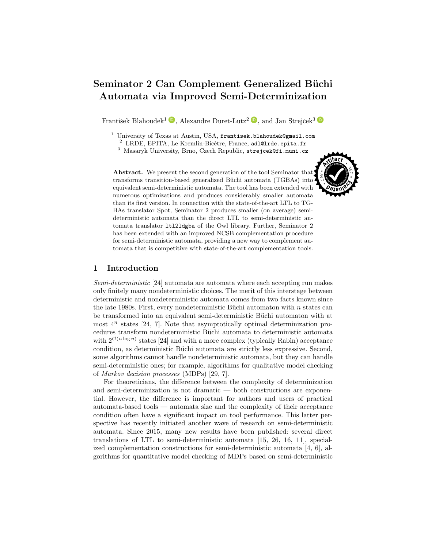# Seminator 2 Can Complement Generalized Büchi Automata via Improved Semi-Determinization

František Blahoudek<sup>1</sup>  $\bullet$ , Alexandre Duret-Lutz<sup>2</sup>  $\bullet$ , and Jan Strejček<sup>3</sup>

 $1$  University of Texas at Austin, USA, frantisek.blahoudek@gmail.com

 $^{2}$  LRDE, EPITA, Le Kremlin-Bicêtre, France, adl@lrde.epita.fr

<sup>3</sup> Masaryk University, Brno, Czech Republic, strejcek@fi.muni.cz

Abstract. We present the second generation of the tool Seminator that transforms transition-based generalized Büchi automata (TGBAs) into equivalent semi-deterministic automata. The tool has been extended with numerous optimizations and produces considerably smaller automata than its first version. In connection with the state-of-the-art LTL to TG-BAs translator Spot, Seminator 2 produces smaller (on average) semideterministic automata than the direct LTL to semi-deterministic automata translator ltl2ldgba of the Owl library. Further, Seminator 2 has been extended with an improved NCSB complementation procedure for semi-deterministic automata, providing a new way to complement automata that is competitive with state-of-the-art complementation tools.

## 1 Introduction

Semi-deterministic [\[24\]](#page-11-0) automata are automata where each accepting run makes only finitely many nondeterministic choices. The merit of this interstage between deterministic and nondeterministic automata comes from two facts known since the late 1980s. First, every nondeterministic Büchi automaton with  $n$  states can be transformed into an equivalent semi-deterministic Büchi automaton with at most  $4^n$  states [\[24,](#page-11-0) [7\]](#page-10-0). Note that asymptotically optimal determinization procedures transform nondeterministic Büchi automata to deterministic automata with  $2^{\mathcal{O}(n \log n)}$  states [\[24\]](#page-11-0) and with a more complex (typically Rabin) acceptance condition, as deterministic Büchi automata are strictly less expressive. Second, some algorithms cannot handle nondeterministic automata, but they can handle semi-deterministic ones; for example, algorithms for qualitative model checking of Markov decision processes (MDPs) [\[29,](#page-11-1) [7\]](#page-10-0).

For theoreticians, the difference between the complexity of determinization and semi-determinization is not dramatic — both constructions are exponential. However, the difference is important for authors and users of practical automata-based tools — automata size and the complexity of their acceptance condition often have a significant impact on tool performance. This latter perspective has recently initiated another wave of research on semi-deterministic automata. Since 2015, many new results have been published: several direct translations of LTL to semi-deterministic automata [\[15,](#page-10-1) [26,](#page-11-2) [16,](#page-10-2) [11\]](#page-10-3), specialized complementation constructions for semi-deterministic automata [\[4,](#page-10-4) [6\]](#page-10-5), algorithms for quantitative model checking of MDPs based on semi-deterministic

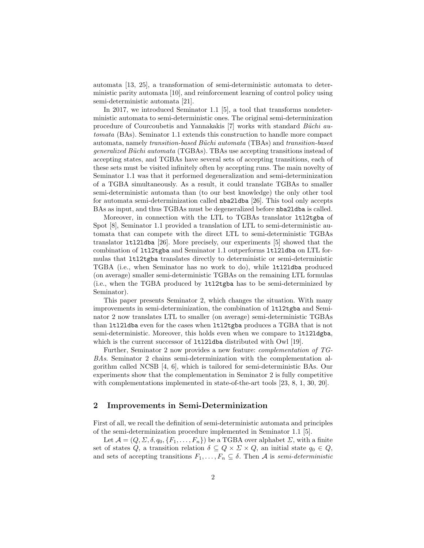automata [\[13,](#page-10-6) [25\]](#page-11-3), a transformation of semi-deterministic automata to deterministic parity automata [\[10\]](#page-10-7), and reinforcement learning of control policy using semi-deterministic automata [\[21\]](#page-11-4).

In 2017, we introduced Seminator 1.1 [\[5\]](#page-10-8), a tool that transforms nondeterministic automata to semi-deterministic ones. The original semi-determinization procedure of Courcoubetis and Yannakakis  $[7]$  works with standard *Büchi au*tomata (BAs). Seminator 1.1 extends this construction to handle more compact automata, namely transition-based Büchi automata (TBAs) and transition-based generalized Büchi automata (TGBAs). TBAs use accepting transitions instead of accepting states, and TGBAs have several sets of accepting transitions, each of these sets must be visited infinitely often by accepting runs. The main novelty of Seminator 1.1 was that it performed degeneralization and semi-determinization of a TGBA simultaneously. As a result, it could translate TGBAs to smaller semi-deterministic automata than (to our best knowledge) the only other tool for automata semi-determinization called nba2ldba [\[26\]](#page-11-2). This tool only accepts BAs as input, and thus TGBAs must be degeneralized before nba2ldba is called.

Moreover, in connection with the LTL to TGBAs translator ltl2tgba of Spot [\[8\]](#page-10-9), Seminator 1.1 provided a translation of LTL to semi-deterministic automata that can compete with the direct LTL to semi-deterministic TGBAs translator ltl2ldba [\[26\]](#page-11-2). More precisely, our experiments [\[5\]](#page-10-8) showed that the combination of ltl2tgba and Seminator 1.1 outperforms ltl2ldba on LTL formulas that ltl2tgba translates directly to deterministic or semi-deterministic TGBA (i.e., when Seminator has no work to do), while ltl2ldba produced (on average) smaller semi-deterministic TGBAs on the remaining LTL formulas (i.e., when the TGBA produced by ltl2tgba has to be semi-determinized by Seminator).

This paper presents Seminator 2, which changes the situation. With many improvements in semi-determinization, the combination of ltl2tgba and Seminator 2 now translates LTL to smaller (on average) semi-deterministic TGBAs than ltl2ldba even for the cases when ltl2tgba produces a TGBA that is not semi-deterministic. Moreover, this holds even when we compare to 1t121dgba, which is the current successor of 1t121dba distributed with Owl [\[19\]](#page-11-5).

Further, Seminator 2 now provides a new feature: complementation of TG-BAs. Seminator 2 chains semi-determinization with the complementation algorithm called NCSB [\[4,](#page-10-4) [6\]](#page-10-5), which is tailored for semi-deterministic BAs. Our experiments show that the complementation in Seminator 2 is fully competitive with complementations implemented in state-of-the-art tools [\[23,](#page-11-6) [8,](#page-10-9) [1,](#page-10-10) [30,](#page-11-7) [20\]](#page-11-8).

### <span id="page-1-0"></span>2 Improvements in Semi-Determinization

First of all, we recall the definition of semi-deterministic automata and principles of the semi-determinization procedure implemented in Seminator 1.1 [\[5\]](#page-10-8).

Let  $\mathcal{A} = (Q, \Sigma, \delta, q_0, \{F_1, \ldots, F_n\})$  be a TGBA over alphabet  $\Sigma$ , with a finite set of states Q, a transition relation  $\delta \subseteq Q \times \Sigma \times Q$ , an initial state  $q_0 \in Q$ , and sets of accepting transitions  $F_1, \ldots, F_n \subseteq \delta$ . Then A is semi-deterministic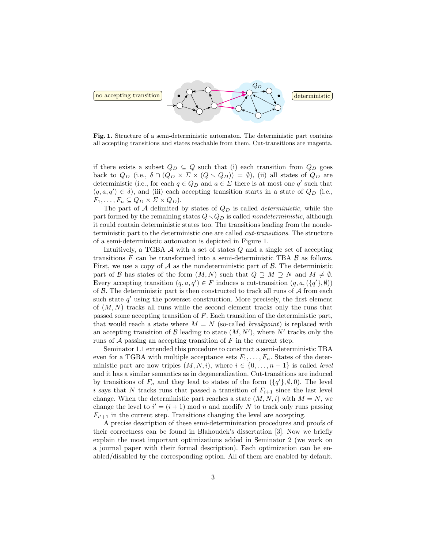

<span id="page-2-0"></span>Fig. 1. Structure of a semi-deterministic automaton. The deterministic part contains all accepting transitions and states reachable from them. Cut-transitions are magenta.

if there exists a subset  $Q_D \subseteq Q$  such that (i) each transition from  $Q_D$  goes back to  $Q_D$  (i.e.,  $\delta \cap (Q_D \times \Sigma \times (Q \setminus Q_D)) = \emptyset$ ), (ii) all states of  $Q_D$  are deterministic (i.e., for each  $q \in Q_D$  and  $a \in \Sigma$  there is at most one q' such that  $(q, a, q') \in \delta$ , and (iii) each accepting transition starts in a state of  $Q_D$  (i.e.,  $F_1, \ldots, F_n \subseteq Q_D \times \Sigma \times Q_D$ .

The part of  $A$  delimited by states of  $Q_D$  is called *deterministic*, while the part formed by the remaining states  $Q \setminus Q_D$  is called nondeterministic, although it could contain deterministic states too. The transitions leading from the nondeterministic part to the deterministic one are called cut-transitions. The structure of a semi-deterministic automaton is depicted in Figure [1.](#page-2-0)

Intuitively, a TGBA A with a set of states Q and a single set of accepting transitions  $F$  can be transformed into a semi-deterministic TBA  $\beta$  as follows. First, we use a copy of  $A$  as the nondeterministic part of  $B$ . The deterministic part of B has states of the form  $(M, N)$  such that  $Q \supseteq M \supseteq N$  and  $M \neq \emptyset$ . Every accepting transition  $(q, a, q') \in F$  induces a cut-transition  $(q, a, (\lbrace q' \rbrace, \emptyset))$ of  $\beta$ . The deterministic part is then constructed to track all runs of  $\mathcal A$  from each such state  $q'$  using the powerset construction. More precisely, the first element of  $(M, N)$  tracks all runs while the second element tracks only the runs that passed some accepting transition of F. Each transition of the deterministic part, that would reach a state where  $M = N$  (so-called *breakpoint*) is replaced with an accepting transition of  $\mathcal{B}$  leading to state  $(M, N')$ , where N' tracks only the runs of  $A$  passing an accepting transition of  $F$  in the current step.

Seminator 1.1 extended this procedure to construct a semi-deterministic TBA even for a TGBA with multiple acceptance sets  $F_1, \ldots, F_n$ . States of the deterministic part are now triples  $(M, N, i)$ , where  $i \in \{0, \ldots, n-1\}$  is called *level* and it has a similar semantics as in degeneralization. Cut-transitions are induced by transitions of  $F_n$  and they lead to states of the form  $({q'}_1, \emptyset, 0)$ . The level i says that N tracks runs that passed a transition of  $F_{i+1}$  since the last level change. When the deterministic part reaches a state  $(M, N, i)$  with  $M = N$ , we change the level to  $i' = (i + 1) \mod n$  and modify N to track only runs passing  $F_{i'+1}$  in the current step. Transitions changing the level are accepting.

A precise description of these semi-determinization procedures and proofs of their correctness can be found in Blahoudek's dissertation [\[3\]](#page-10-11). Now we briefly explain the most important optimizations added in Seminator 2 (we work on a journal paper with their formal description). Each optimization can be enabled/disabled by the corresponding option. All of them are enabled by default.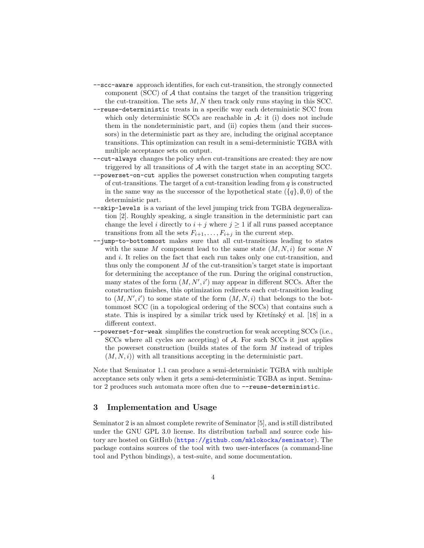- --scc-aware approach identifies, for each cut-transition, the strongly connected component (SCC) of  $A$  that contains the target of the transition triggering the cut-transition. The sets  $M, N$  then track only runs staying in this SCC.
- --reuse-deterministic treats in a specific way each deterministic SCC from which only deterministic SCCs are reachable in  $A$ : it (i) does not include them in the nondeterministic part, and (ii) copies them (and their successors) in the deterministic part as they are, including the original acceptance transitions. This optimization can result in a semi-deterministic TGBA with multiple acceptance sets on output.
- --cut-always changes the policy when cut-transitions are created: they are now triggered by all transitions of A with the target state in an accepting SCC.
- --powerset-on-cut applies the powerset construction when computing targets of cut-transitions. The target of a cut-transition leading from  $q$  is constructed in the same way as the successor of the hypothetical state  $({q}, \emptyset, 0)$  of the deterministic part.
- --skip-levels is a variant of the level jumping trick from TGBA degeneralization [\[2\]](#page-10-12). Roughly speaking, a single transition in the deterministic part can change the level i directly to  $i + j$  where  $j \ge 1$  if all runs passed acceptance transitions from all the sets  $F_{i+1}, \ldots, F_{i+j}$  in the current step.
- --jump-to-bottommost makes sure that all cut-transitions leading to states with the same M component lead to the same state  $(M, N, i)$  for some N and i. It relies on the fact that each run takes only one cut-transition, and thus only the component  $M$  of the cut-transition's target state is important for determining the acceptance of the run. During the original construction, many states of the form  $(M, N', i')$  may appear in different SCCs. After the construction finishes, this optimization redirects each cut-transition leading to  $(M, N', i')$  to some state of the form  $(M, N, i)$  that belongs to the bottommost SCC (in a topological ordering of the SCCs) that contains such a state. This is inspired by a similar trick used by Křetínský et al. [\[18\]](#page-11-9) in a different context.
- --powerset-for-weak simplifies the construction for weak accepting SCCs (i.e., SCCs where all cycles are accepting) of A. For such SCCs it just applies the powerset construction (builds states of the form M instead of triples  $(M, N, i)$  with all transitions accepting in the deterministic part.

Note that Seminator 1.1 can produce a semi-deterministic TGBA with multiple acceptance sets only when it gets a semi-deterministic TGBA as input. Seminator 2 produces such automata more often due to --reuse-deterministic.

## 3 Implementation and Usage

Seminator 2 is an almost complete rewrite of Seminator [\[5\]](#page-10-8), and is still distributed under the GNU GPL 3.0 license. Its distribution tarball and source code history are hosted on GitHub (<https://github.com/mklokocka/seminator>). The package contains sources of the tool with two user-interfaces (a command-line tool and Python bindings), a test-suite, and some documentation.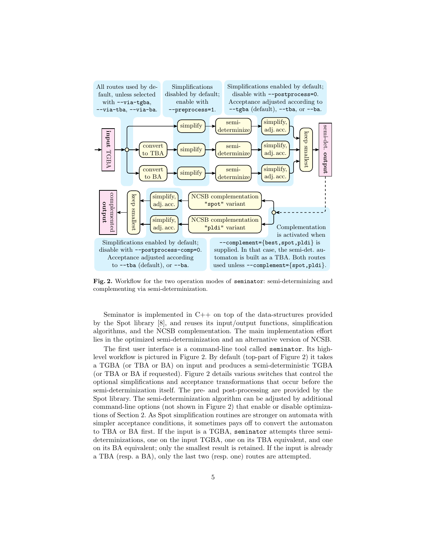

<span id="page-4-0"></span>Fig. 2. Workflow for the two operation modes of seminator: semi-determinizing and complementing via semi-determinization.

Seminator is implemented in C++ on top of the data-structures provided by the Spot library [\[8\]](#page-10-9), and reuses its input/output functions, simplification algorithms, and the NCSB complementation. The main implementation effort lies in the optimized semi-determinization and an alternative version of NCSB.

The first user interface is a command-line tool called seminator. Its highlevel workflow is pictured in Figure [2.](#page-4-0) By default (top-part of Figure [2\)](#page-4-0) it takes a TGBA (or TBA or BA) on input and produces a semi-deterministic TGBA (or TBA or BA if requested). Figure [2](#page-4-0) details various switches that control the optional simplifications and acceptance transformations that occur before the semi-determinization itself. The pre- and post-processing are provided by the Spot library. The semi-determinization algorithm can be adjusted by additional command-line options (not shown in Figure [2\)](#page-4-0) that enable or disable optimizations of Section [2.](#page-1-0) As Spot simplification routines are stronger on automata with simpler acceptance conditions, it sometimes pays off to convert the automaton to TBA or BA first. If the input is a TGBA, seminator attempts three semideterminizations, one on the input TGBA, one on its TBA equivalent, and one on its BA equivalent; only the smallest result is retained. If the input is already a TBA (resp. a BA), only the last two (resp. one) routes are attempted.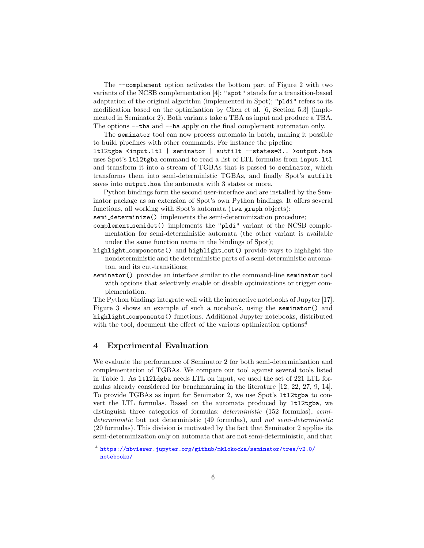The --complement option activates the bottom part of Figure [2](#page-4-0) with two variants of the NCSB complementation [\[4\]](#page-10-4): "spot" stands for a transition-based adaptation of the original algorithm (implemented in Spot); "pldi" refers to its modification based on the optimization by Chen et al. [\[6,](#page-10-5) Section 5.3] (implemented in Seminator 2). Both variants take a TBA as input and produce a TBA. The options --tba and --ba apply on the final complement automaton only.

The seminator tool can now process automata in batch, making it possible to build pipelines with other commands. For instance the pipeline

ltl2tgba <input.ltl | seminator | autfilt --states=3.. >output.hoa uses Spot's ltl2tgba command to read a list of LTL formulas from input.ltl and transform it into a stream of TGBAs that is passed to seminator, which transforms them into semi-deterministic TGBAs, and finally Spot's autfilt saves into output.hoa the automata with 3 states or more.

Python bindings form the second user-interface and are installed by the Seminator package as an extension of Spot's own Python bindings. It offers several functions, all working with Spot's automata (twa graph objects):

semi<sub>determinize</sub>() implements the semi-determinization procedure;

- complement semidet() implements the "pldi" variant of the NCSB complementation for semi-deterministic automata (the other variant is available under the same function name in the bindings of Spot);
- highlight components() and highlight cut() provide ways to highlight the nondeterministic and the deterministic parts of a semi-deterministic automaton, and its cut-transitions;
- seminator() provides an interface similar to the command-line seminator tool with options that selectively enable or disable optimizations or trigger complementation.

The Python bindings integrate well with the interactive notebooks of Jupyter [\[17\]](#page-11-10). Figure [3](#page-6-0) shows an example of such a notebook, using the seminator() and highlight components() functions. Additional Jupyter notebooks, distributed with the tool, document the effect of the various optimization options.<sup>[4](#page-5-0)</sup>

## 4 Experimental Evaluation

We evaluate the performance of Seminator 2 for both semi-determinization and complementation of TGBAs. We compare our tool against several tools listed in Table [1.](#page-7-0) As ltl2ldgba needs LTL on input, we used the set of 221 LTL formulas already considered for benchmarking in the literature [\[12,](#page-10-13) [22,](#page-11-11) [27,](#page-11-12) [9,](#page-10-14) [14\]](#page-10-15). To provide TGBAs as input for Seminator 2, we use Spot's ltl2tgba to convert the LTL formulas. Based on the automata produced by ltl2tgba, we distinguish three categories of formulas: *deterministic* (152 formulas), *semi*deterministic but not deterministic (49 formulas), and not semi-deterministic (20 formulas). This division is motivated by the fact that Seminator 2 applies its semi-determinization only on automata that are not semi-deterministic, and that

<span id="page-5-0"></span><sup>4</sup> [https://nbviewer.jupyter.org/github/mklokocka/seminator/tree/v2.0/](https://nbviewer.jupyter.org/github/mklokocka/seminator/tree/v2.0/notebooks/) [notebooks/](https://nbviewer.jupyter.org/github/mklokocka/seminator/tree/v2.0/notebooks/)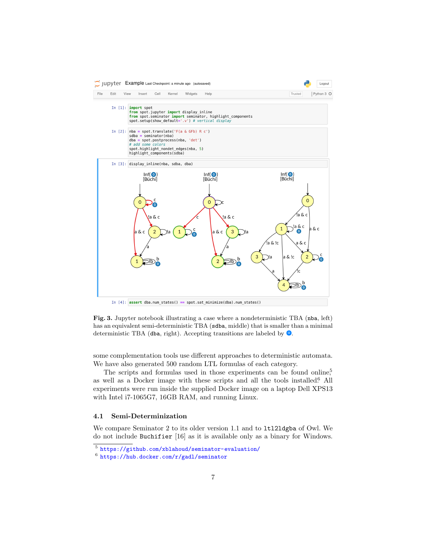

<span id="page-6-0"></span>Fig. 3. Jupyter notebook illustrating a case where a nondeterministic TBA (nba, left) has an equivalent semi-deterministic TBA (sdba, middle) that is smaller than a minimal deterministic TBA (dba, right). Accepting transitions are labeled by  $\bullet$ .

some complementation tools use different approaches to deterministic automata. We have also generated 500 random LTL formulas of each category.

The scripts and formulas used in those experiments can be found onlin[e,](#page-6-1)<sup>5</sup> as well as a Docker image with these scripts and all the tools installed.<sup>[6](#page-6-2)</sup> All experiments were run inside the supplied Docker image on a laptop Dell XPS13 with Intel i7-1065G7, 16GB RAM, and running Linux.

#### 4.1 Semi-Determinization

We compare Seminator 2 to its older version 1.1 and to ltl2ldgba of Owl. We do not include Buchifier [\[16\]](#page-10-2) as it is available only as a binary for Windows.

<span id="page-6-1"></span><sup>5</sup> <https://github.com/xblahoud/seminator-evaluation/>

<span id="page-6-2"></span><sup>6</sup> <https://hub.docker.com/r/gadl/seminator>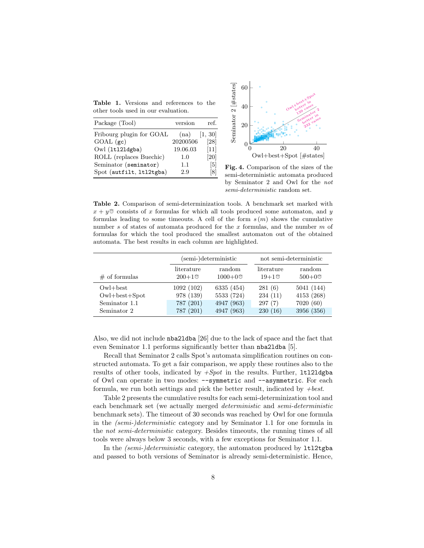<span id="page-7-0"></span>Table 1. Versions and references to the other tools used in our evaluation.

| Package (Tool)           | version  | ref.   |
|--------------------------|----------|--------|
| Fribourg plugin for GOAL | (na)     | 1, 30  |
| $GOAL$ (gc)              | 20200506 | [28]   |
| Owl (1t121dgba)          | 19.06.03 | $[11]$ |
| ROLL (replaces Buechic)  | 1.0      | [20]   |
| Seminator (seminator)    | $1.1\,$  | [5]    |
| Spot (autfilt, 1t12tgba) | 2.9      | 81     |



<span id="page-7-2"></span>Fig. 4. Comparison of the sizes of the semi-deterministic automata produced by Seminator 2 and Owl for the not semi-deterministic random set.

<span id="page-7-1"></span>Table 2. Comparison of semi-determinization tools. A benchmark set marked with  $x + y$ <sup> $\circ$ </sup> consists of x formulas for which all tools produced some automaton, and y formulas leading to some timeouts. A cell of the form  $s(m)$  shows the cumulative number s of states of automata produced for the x formulas, and the number m of formulas for which the tool produced the smallest automaton out of the obtained automata. The best results in each column are highlighted.

|                     |            | (semi-)deterministic | not semi-deterministic |            |  |
|---------------------|------------|----------------------|------------------------|------------|--|
| $#$ of formulas     | literature | random               | literature             | random     |  |
|                     | $200+1$ ©  | $1000+0$ ©           | $19+1$ ©               | $500+0$    |  |
| $Owl + best$        | 1092(102)  | 6335 (454)           | 281(6)                 | 5041 (144) |  |
| $Owl + best + Spot$ | 978 (139)  | 5533 (724)           | 234(11)                | 4153 (268) |  |
| Seminator 1.1       | 787 (201)  | 4947 (963)           | 297(7)                 | 7020(60)   |  |
| Seminator 2         | 787 (201)  | 4947 (963)           | 230(16)                | 3956 (356) |  |

Also, we did not include nba2ldba [\[26\]](#page-11-2) due to the lack of space and the fact that even Seminator 1.1 performs significantly better than nba2ldba [\[5\]](#page-10-8).

Recall that Seminator 2 calls Spot's automata simplification routines on constructed automata. To get a fair comparison, we apply these routines also to the results of other tools, indicated by  $+Spot$  in the results. Further, 1t121dgba of Owl can operate in two modes: --symmetric and --asymmetric. For each formula, we run both settings and pick the better result, indicated by  $+best$ .

Table [2](#page-7-1) presents the cumulative results for each semi-determinization tool and each benchmark set (we actually merged deterministic and semi-deterministic benchmark sets). The timeout of 30 seconds was reached by Owl for one formula in the (semi-)deterministic category and by Seminator 1.1 for one formula in the not semi-deterministic category. Besides timeouts, the running times of all tools were always below 3 seconds, with a few exceptions for Seminator 1.1.

In the (semi-)deterministic category, the automaton produced by ltl2tgba and passed to both versions of Seminator is already semi-deterministic. Hence,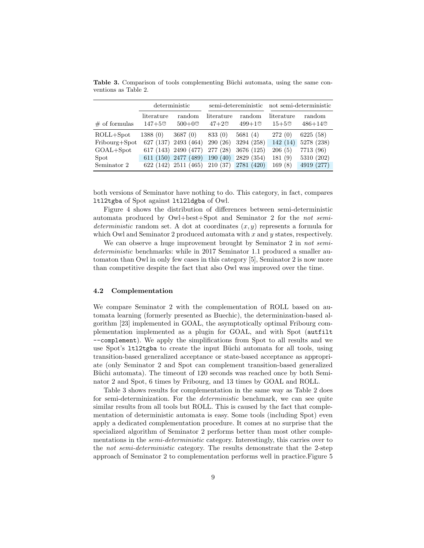|                  | deterministic            |                               | semi-detereministic     |                    | not semi-deterministic |                        |
|------------------|--------------------------|-------------------------------|-------------------------|--------------------|------------------------|------------------------|
| $\#$ of formulas | literature<br>$147 + 50$ | random<br>$500+0$ ©           | literature<br>$47 + 20$ | random<br>$499+10$ | literature<br>$15+5$ © | random<br>$486 + 14$ © |
| $ROLL+Spot$      | 1388(0)                  | 3687(0)                       | 833(0)                  | 5681(4)            | 272(0)                 | 6225 (58)              |
| Fribourg+Spot    |                          | 627 (137) 2493 (464)          | 290(26)                 | 3294 (258)         | 142(14)                | 5278 (238)             |
| $GOAL+Spot$      |                          | 617 (143) 2490 (477)          | 277 (28)                | 3676 (125)         | 206(5)                 | 7713 (96)              |
| Spot             |                          | 611 (150) 2477 (489)          | 190(40)                 | 2829 (354)         | 181(9)                 | 5310 (202)             |
| Seminator 2      |                          | 622 (142) 2511 (465) 210 (37) |                         | 2781 (420)         | 169(8)                 | 4919 (277)             |

<span id="page-8-0"></span>Table 3. Comparison of tools complementing Büchi automata, using the same conventions as Table [2.](#page-7-1)

both versions of Seminator have nothing to do. This category, in fact, compares ltl2tgba of Spot against ltl2ldgba of Owl.

Figure [4](#page-7-2) shows the distribution of differences between semi-deterministic automata produced by Owl+best+Spot and Seminator 2 for the not semideterministic random set. A dot at coordinates  $(x, y)$  represents a formula for which Owl and Seminator 2 produced automata with  $x$  and  $y$  states, respectively.

We can observe a huge improvement brought by Seminator 2 in not semideterministic benchmarks: while in 2017 Seminator 1.1 produced a smaller automaton than Owl in only few cases in this category [\[5\]](#page-10-8), Seminator 2 is now more than competitive despite the fact that also Owl was improved over the time.

#### 4.2 Complementation

We compare Seminator 2 with the complementation of ROLL based on automata learning (formerly presented as Buechic), the determinization-based algorithm [\[23\]](#page-11-6) implemented in GOAL, the asymptotically optimal Fribourg complementation implemented as a plugin for GOAL, and with Spot (autfilt --complement). We apply the simplifications from Spot to all results and we use Spot's ltl2tgba to create the input Büchi automata for all tools, using transition-based generalized acceptance or state-based acceptance as appropriate (only Seminator 2 and Spot can complement transition-based generalized Büchi automata). The timeout of 120 seconds was reached once by both Seminator 2 and Spot, 6 times by Fribourg, and 13 times by GOAL and ROLL.

Table [3](#page-8-0) shows results for complementation in the same way as Table [2](#page-7-1) does for semi-determinization. For the deterministic benchmark, we can see quite similar results from all tools but ROLL. This is caused by the fact that complementation of deterministic automata is easy. Some tools (including Spot) even apply a dedicated complementation procedure. It comes at no surprise that the specialized algorithm of Seminator 2 performs better than most other complementations in the *semi-deterministic* category. Interestingly, this carries over to the not semi-deterministic category. The results demonstrate that the 2-step approach of Seminator 2 to complementation performs well in practice.Figure [5](#page-9-0)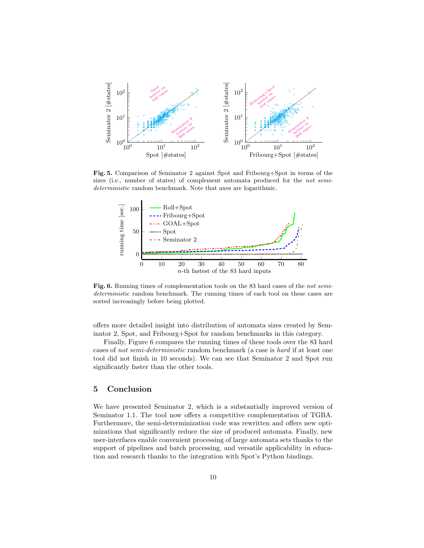

<span id="page-9-0"></span>Fig. 5. Comparison of Seminator 2 against Spot and Fribourg+Spot in terms of the sizes (i.e., number of states) of complement automata produced for the not semideterministic random benchmark. Note that axes are logarithmic.



<span id="page-9-1"></span>Fig. 6. Running times of complementation tools on the 83 hard cases of the not semideterministic random benchmark. The running times of each tool on these cases are sorted increasingly before being plotted.

offers more detailed insight into distribution of automata sizes created by Seminator 2, Spot, and Fribourg+Spot for random benchmarks in this category.

Finally, Figure [6](#page-9-1) compares the running times of these tools over the 83 hard cases of not semi-deterministic random benchmark (a case is hard if at least one tool did not finish in 10 seconds). We can see that Seminator 2 and Spot run significantly faster than the other tools.

# 5 Conclusion

We have presented Seminator 2, which is a substantially improved version of Seminator 1.1. The tool now offers a competitive complementation of TGBA. Furthermore, the semi-determinization code was rewritten and offers new optimizations that significantly reduce the size of produced automata. Finally, new user-interfaces enable convenient processing of large automata sets thanks to the support of pipelines and batch processing, and versatile applicability in education and research thanks to the integration with Spot's Python bindings.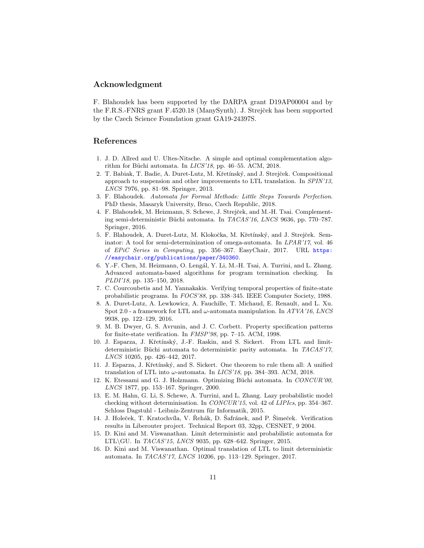## Acknowledgment

F. Blahoudek has been supported by the DARPA grant D19AP00004 and by the F.R.S.-FNRS grant F.4520.18 (ManySynth). J. Strejček has been supported by the Czech Science Foundation grant GA19-24397S.

## References

- <span id="page-10-10"></span>1. J. D. Allred and U. Ultes-Nitsche. A simple and optimal complementation algorithm for Büchi automata. In  $LICS'18$ , pp. 46–55. ACM, 2018.
- <span id="page-10-12"></span>2. T. Babiak, T. Badie, A. Duret-Lutz, M. Křetínský, and J. Strejček. Compositional approach to suspension and other improvements to LTL translation. In SPIN'13, LNCS 7976, pp. 81–98. Springer, 2013.
- <span id="page-10-11"></span>3. F. Blahoudek. Automata for Formal Methods: Little Steps Towards Perfection. PhD thesis, Masaryk University, Brno, Czech Republic, 2018.
- <span id="page-10-4"></span>4. F. Blahoudek, M. Heizmann, S. Schewe, J. Strejček, and M.-H. Tsai. Complementing semi-deterministic Büchi automata. In TACAS'16, LNCS 9636, pp. 770–787. Springer, 2016.
- <span id="page-10-8"></span>5. F. Blahoudek, A. Duret-Lutz, M. Klokočka, M. Křetínský, and J. Strejček. Seminator: A tool for semi-determinization of omega-automata. In LPAR'17, vol. 46 of EPiC Series in Computing, pp. 356–367. EasyChair, 2017. URL [https:](https://easychair.org/publications/paper/340360) [//easychair.org/publications/paper/340360](https://easychair.org/publications/paper/340360).
- <span id="page-10-5"></span>6. Y.-F. Chen, M. Heizmann, O. Leng´al, Y. Li, M.-H. Tsai, A. Turrini, and L. Zhang. Advanced automata-based algorithms for program termination checking. In PLDI'18, pp. 135–150, 2018.
- <span id="page-10-0"></span>7. C. Courcoubetis and M. Yannakakis. Verifying temporal properties of finite-state probabilistic programs. In FOCS'88, pp. 338–345. IEEE Computer Society, 1988.
- <span id="page-10-9"></span>8. A. Duret-Lutz, A. Lewkowicz, A. Fauchille, T. Michaud, E. Renault, and L. Xu. Spot 2.0 - a framework for LTL and  $\omega$ -automata manipulation. In ATVA'16, LNCS 9938, pp. 122–129, 2016.
- <span id="page-10-14"></span>9. M. B. Dwyer, G. S. Avrunin, and J. C. Corbett. Property specification patterns for finite-state verification. In FMSP'98, pp. 7–15. ACM, 1998.
- <span id="page-10-7"></span>10. J. Esparza, J. Kˇret´ınsk´y, J.-F. Raskin, and S. Sickert. From LTL and limitdeterministic Büchi automata to deterministic parity automata. In  $TACAS'17$ , LNCS 10205, pp. 426–442, 2017.
- <span id="page-10-3"></span>11. J. Esparza, J. Kˇret´ınsk´y, and S. Sickert. One theorem to rule them all: A unified translation of LTL into  $\omega$ -automata. In *LICS'18*, pp. 384–393. ACM, 2018.
- <span id="page-10-13"></span>12. K. Etessami and G. J. Holzmann. Optimizing Büchi automata. In CONCUR'00, LNCS 1877, pp. 153–167. Springer, 2000.
- <span id="page-10-6"></span>13. E. M. Hahn, G. Li, S. Schewe, A. Turrini, and L. Zhang. Lazy probabilistic model checking without determinisation. In CONCUR'15, vol. 42 of LIPIcs, pp. 354–367. Schloss Dagstuhl - Leibniz-Zentrum für Informatik, 2015.
- <span id="page-10-15"></span>14. J. Holeček, T. Kratochvíla, V. Řehák, D. Šafránek, and P. Šimeček. Verification results in Liberouter project. Technical Report 03, 32pp, CESNET, 9 2004.
- <span id="page-10-1"></span>15. D. Kini and M. Viswanathan. Limit deterministic and probabilistic automata for LTL\GU. In TACAS'15, LNCS 9035, pp. 628–642. Springer, 2015.
- <span id="page-10-2"></span>16. D. Kini and M. Viswanathan. Optimal translation of LTL to limit deterministic automata. In TACAS'17, LNCS 10206, pp. 113–129. Springer, 2017.